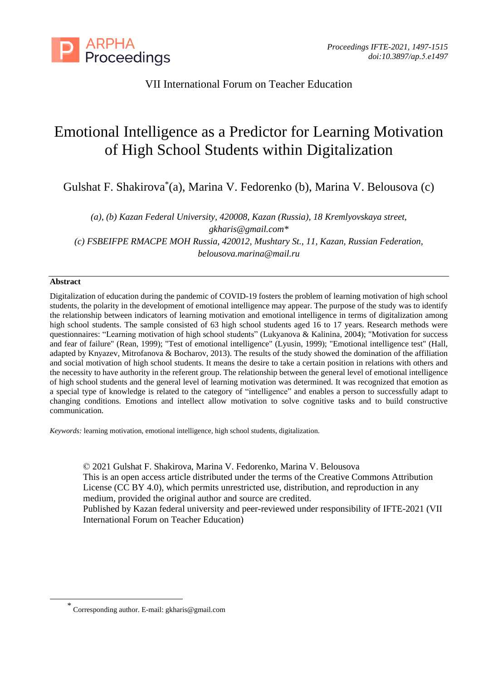

# VII International Forum on Teacher Education

# Emotional Intelligence as a Predictor for Learning Motivation of High School Students within Digitalization

Gulshat F. Shakirova\* (a), Marina V. Fedorenko (b), Marina V. Belousova (c)

*(a), (b) Kazan Federal University, 420008, Kazan (Russia), 18 Kremlyovskaya street, gkharis@gmail.com\* (c) FSBEIFPE RMACPE MOH Russia, 420012, Mushtary St., 11, Kazan, Russian Federation, belousova.marina@mail.ru*

### **Abstract**

Digitalization of education during the pandemic of COVID-19 fosters the problem of learning motivation of high school students, the polarity in the development of emotional intelligence may appear. The purpose of the study was to identify the relationship between indicators of learning motivation and emotional intelligence in terms of digitalization among high school students. The sample consisted of 63 high school students aged 16 to 17 years. Research methods were questionnaires: "Learning motivation of high school students" (Lukyanova & Kalinina, 2004); "Motivation for success and fear of failure" (Rean, 1999); "Test of emotional intelligence" (Lyusin, 1999); "Emotional intelligence test" (Hall, adapted by Knyazev, Mitrofanova & Bocharov, 2013). The results of the study showed the domination of the affiliation and social motivation of high school students. It means the desire to take a certain position in relations with others and the necessity to have authority in the referent group. The relationship between the general level of emotional intelligence of high school students and the general level of learning motivation was determined. It was recognized that emotion as a special type of knowledge is related to the category of "intelligence" and enables a person to successfully adapt to changing conditions. Emotions and intellect allow motivation to solve cognitive tasks and to build constructive communication.

*Keywords:* learning motivation, emotional intelligence, high school students, digitalization.

© 2021 Gulshat F. Shakirova, Marina V. Fedorenko, Marina V. Belousova This is an open access article distributed under the terms of the Creative Commons Attribution License (CC BY 4.0), which permits unrestricted use, distribution, and reproduction in any medium, provided the original author and source are credited. Published by Kazan federal university and peer-reviewed under responsibility of IFTE-2021 (VII International Forum on Teacher Education)

<sup>\*</sup> Corresponding author. E-mail: gkharis@gmail.com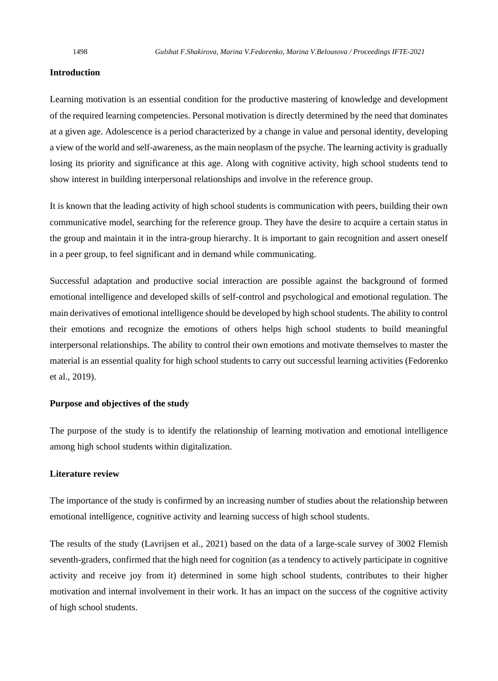#### **Introduction**

Learning motivation is an essential condition for the productive mastering of knowledge and development of the required learning competencies. Personal motivation is directly determined by the need that dominates at a given age. Adolescence is a period characterized by a change in value and personal identity, developing a view of the world and self-awareness, asthe main neoplasm of the psyche. The learning activity is gradually losing its priority and significance at this age. Along with cognitive activity, high school students tend to show interest in building interpersonal relationships and involve in the reference group.

It is known that the leading activity of high school students is communication with peers, building their own communicative model, searching for the reference group. They have the desire to acquire a certain status in the group and maintain it in the intra-group hierarchy. It is important to gain recognition and assert oneself in a peer group, to feel significant and in demand while communicating.

Successful adaptation and productive social interaction are possible against the background of formed emotional intelligence and developed skills of self-control and psychological and emotional regulation. The main derivatives of emotional intelligence should be developed by high school students. The ability to control their emotions and recognize the emotions of others helps high school students to build meaningful interpersonal relationships. The ability to control their own emotions and motivate themselves to master the material is an essential quality for high school students to carry out successful learning activities (Fedorenko et al., 2019).

#### **Purpose and objectives of the study**

The purpose of the study is to identify the relationship of learning motivation and emotional intelligence among high school students within digitalization.

#### **Literature review**

The importance of the study is confirmed by an increasing number of studies about the relationship between emotional intelligence, cognitive activity and learning success of high school students.

The results of the study (Lavrijsen et al., 2021) based on the data of a large-scale survey of 3002 Flemish seventh-graders, confirmed that the high need for cognition (as a tendency to actively participate in cognitive activity and receive joy from it) determined in some high school students, contributes to their higher motivation and internal involvement in their work. It has an impact on the success of the cognitive activity of high school students.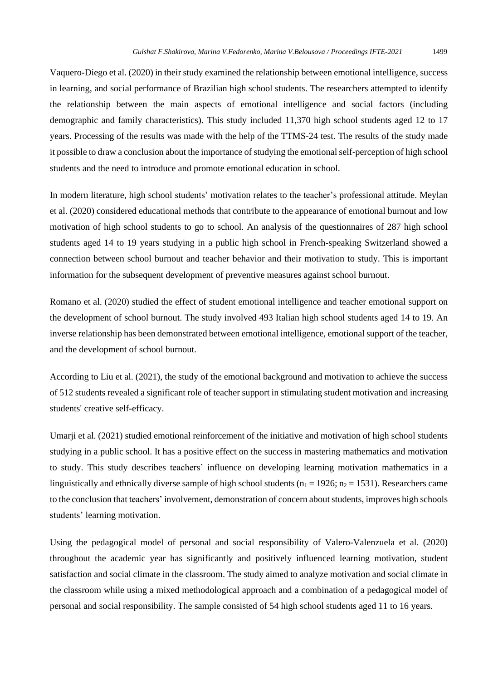Vaquero-Diego et al. (2020) in their study examined the relationship between emotional intelligence, success in learning, and social performance of Brazilian high school students. The researchers attempted to identify the relationship between the main aspects of emotional intelligence and social factors (including demographic and family characteristics). This study included 11,370 high school students aged 12 to 17 years. Processing of the results was made with the help of the TTMS-24 test. The results of the study made it possible to draw a conclusion about the importance of studying the emotional self-perception of high school students and the need to introduce and promote emotional education in school.

In modern literature, high school students' motivation relates to the teacher's professional attitude. Meylan et al. (2020) considered educational methods that contribute to the appearance of emotional burnout and low motivation of high school students to go to school. An analysis of the questionnaires of 287 high school students aged 14 to 19 years studying in a public high school in French-speaking Switzerland showed a connection between school burnout and teacher behavior and their motivation to study. This is important information for the subsequent development of preventive measures against school burnout.

Romano et al. (2020) studied the effect of student emotional intelligence and teacher emotional support on the development of school burnout. The study involved 493 Italian high school students aged 14 to 19. An inverse relationship has been demonstrated between emotional intelligence, emotional support of the teacher, and the development of school burnout.

According to Liu et al. (2021), the study of the emotional background and motivation to achieve the success of 512 students revealed a significant role of teacher support in stimulating student motivation and increasing students' creative self-efficacy.

Umarji et al. (2021) studied emotional reinforcement of the initiative and motivation of high school students studying in a public school. It has a positive effect on the success in mastering mathematics and motivation to study. This study describes teachers' influence on developing learning motivation mathematics in a linguistically and ethnically diverse sample of high school students ( $n_1 = 1926$ ;  $n_2 = 1531$ ). Researchers came to the conclusion that teachers' involvement, demonstration of concern about students, improves high schools students' learning motivation.

Using the pedagogical model of personal and social responsibility of Valero-Valenzuela et al. (2020) throughout the academic year has significantly and positively influenced learning motivation, student satisfaction and social climate in the classroom. The study aimed to analyze motivation and social climate in the classroom while using a mixed methodological approach and a combination of a pedagogical model of personal and social responsibility. The sample consisted of 54 high school students aged 11 to 16 years.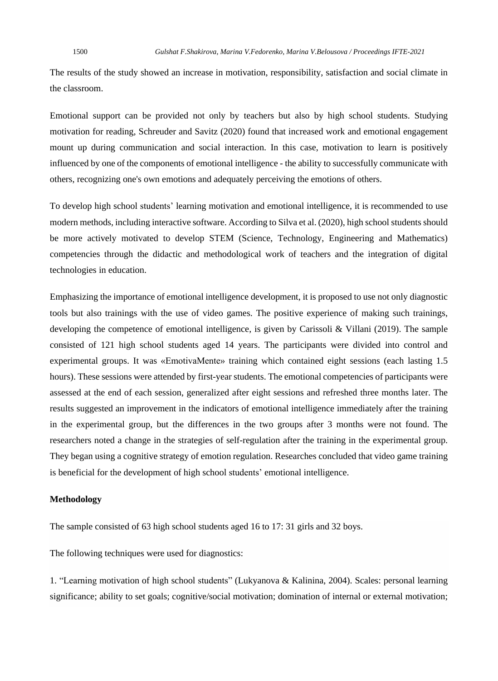The results of the study showed an increase in motivation, responsibility, satisfaction and social climate in the classroom.

Emotional support can be provided not only by teachers but also by high school students. Studying motivation for reading, Schreuder and Savitz (2020) found that increased work and emotional engagement mount up during communication and social interaction. In this case, motivation to learn is positively influenced by one of the components of emotional intelligence - the ability to successfully communicate with others, recognizing one's own emotions and adequately perceiving the emotions of others.

To develop high school students' learning motivation and emotional intelligence, it is recommended to use modern methods, including interactive software. According to Silva et al. (2020), high school students should be more actively motivated to develop STEM (Science, Technology, Engineering and Mathematics) competencies through the didactic and methodological work of teachers and the integration of digital technologies in education.

Emphasizing the importance of emotional intelligence development, it is proposed to use not only diagnostic tools but also trainings with the use of video games. The positive experience of making such trainings, developing the competence of emotional intelligence, is given by Carissoli & Villani (2019). The sample consisted of 121 high school students aged 14 years. The participants were divided into control and experimental groups. It was «EmotivaMente» training which contained eight sessions (each lasting 1.5 hours). These sessions were attended by first-year students. The emotional competencies of participants were assessed at the end of each session, generalized after eight sessions and refreshed three months later. The results suggested an improvement in the indicators of emotional intelligence immediately after the training in the experimental group, but the differences in the two groups after 3 months were not found. The researchers noted a change in the strategies of self-regulation after the training in the experimental group. They began using a cognitive strategy of emotion regulation. Researches concluded that video game training is beneficial for the development of high school students' emotional intelligence.

#### **Methodology**

The sample consisted of 63 high school students aged 16 to 17: 31 girls and 32 boys.

The following techniques were used for diagnostics:

1. "Learning motivation of high school students" (Lukyanova & Kalinina, 2004). Scales: personal learning significance; ability to set goals; cognitive/social motivation; domination of internal or external motivation;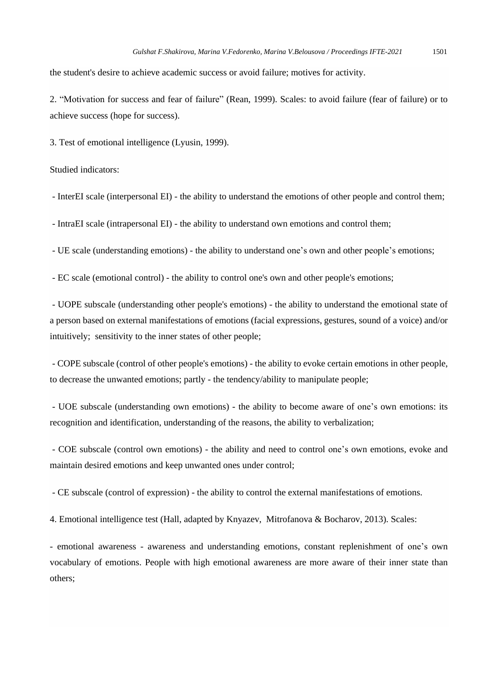the student's desire to achieve academic success or avoid failure; motives for activity.

2. "Motivation for success and fear of failure" (Rean, 1999). Scales: to avoid failure (fear of failure) or to achieve success (hope for success).

3. Test of emotional intelligence (Lyusin, 1999).

Studied indicators:

- InterEI scale (interpersonal EI) - the ability to understand the emotions of other people and control them;

- IntraEI scale (intrapersonal EI) - the ability to understand own emotions and control them;

- UE scale (understanding emotions) - the ability to understand one's own and other people's emotions;

- EC scale (emotional control) - the ability to control one's own and other people's emotions;

- UOPE subscale (understanding other people's emotions) - the ability to understand the emotional state of a person based on external manifestations of emotions (facial expressions, gestures, sound of a voice) and/or intuitively; sensitivity to the inner states of other people;

- COPE subscale (control of other people's emotions) - the ability to evoke certain emotions in other people, to decrease the unwanted emotions; partly - the tendency/ability to manipulate people;

- UOE subscale (understanding own emotions) - the ability to become aware of one's own emotions: its recognition and identification, understanding of the reasons, the ability to verbalization;

- COE subscale (control own emotions) - the ability and need to control one's own emotions, evoke and maintain desired emotions and keep unwanted ones under control;

- CE subscale (control of expression) - the ability to control the external manifestations of emotions.

4. Emotional intelligence test (Hall, adapted by Knyazev, Mitrofanova & Bocharov, 2013). Scales:

- emotional awareness - awareness and understanding emotions, constant replenishment of one's own vocabulary of emotions. People with high emotional awareness are more aware of their inner state than others;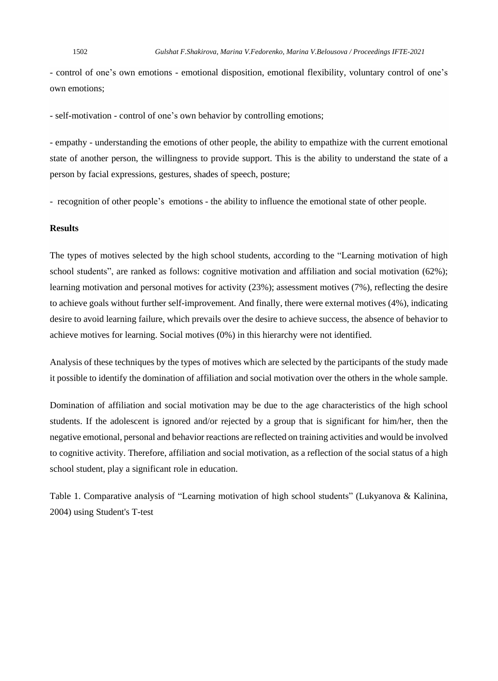- control of one's own emotions - emotional disposition, emotional flexibility, voluntary control of one's own emotions;

- self-motivation - control of one's own behavior by controlling emotions;

- empathy - understanding the emotions of other people, the ability to empathize with the current emotional state of another person, the willingness to provide support. This is the ability to understand the state of a person by facial expressions, gestures, shades of speech, posture;

- recognition of other people's emotions - the ability to influence the emotional state of other people.

#### **Results**

The types of motives selected by the high school students, according to the "Learning motivation of high school students", are ranked as follows: cognitive motivation and affiliation and social motivation (62%); learning motivation and personal motives for activity (23%); assessment motives (7%), reflecting the desire to achieve goals without further self-improvement. And finally, there were external motives (4%), indicating desire to avoid learning failure, which prevails over the desire to achieve success, the absence of behavior to achieve motives for learning. Social motives (0%) in this hierarchy were not identified.

Analysis of these techniques by the types of motives which are selected by the participants of the study made it possible to identify the domination of affiliation and social motivation over the others in the whole sample.

Domination of affiliation and social motivation may be due to the age characteristics of the high school students. If the adolescent is ignored and/or rejected by a group that is significant for him/her, then the negative emotional, personal and behavior reactions are reflected on training activities and would be involved to cognitive activity. Therefore, affiliation and social motivation, as a reflection of the social status of a high school student, play a significant role in education.

Table 1. Comparative analysis of "Learning motivation of high school students" (Lukyanova & Kalinina, 2004) using Student's T-test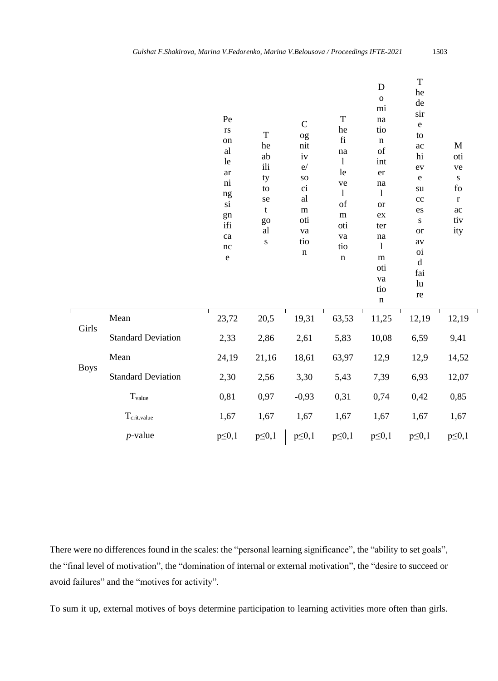|                           | $\mathbf{r}\mathbf{s}$<br>on<br>al<br>le<br>ar<br>$\rm ni$<br>$\rm ng$<br>$\rm{si}$<br>gn<br>ifi<br>ca<br>nc<br>${\bf e}$ | T<br>he<br>ab<br>ili<br>ty<br>to<br>se<br>t<br>go<br>al<br>${\bf S}$ | $\mathcal{C}$<br>og<br>nit<br>$iv$<br>e/<br>SO<br>ci<br>al<br>${\bf m}$<br>oti<br>va<br>tio<br>$\mathbf n$ | he<br>$\rm{fi}$<br>na<br>$\mathbf{l}$<br>le<br>ve<br>$\mathbf{1}$<br>of<br>m<br>oti<br>va<br>tio<br>$\mathbf n$ | tio<br>$\mathbf n$<br>of<br>int<br>er<br>na<br>$\mathbf{l}$<br><b>or</b><br>ex<br>ter<br>na<br>$\mathbf{1}$<br>m<br>oti<br>va<br>tio<br>$\bf n$ | ${\bf e}$<br>to<br>ac<br>$\hbox{\rm hi}$<br>ev<br>${\bf e}$<br>su<br>cc<br>es<br>${\bf S}$<br><b>or</b><br>av<br>$o$ <sub>i</sub><br>$\rm d$<br>fai<br>lu<br>re | $\mathbf M$<br>oti<br>ve<br>${\bf S}$<br>${\rm fo}$<br>$\bf r$<br>$\rm ac$<br>tiv<br>ity |  |
|---------------------------|---------------------------------------------------------------------------------------------------------------------------|----------------------------------------------------------------------|------------------------------------------------------------------------------------------------------------|-----------------------------------------------------------------------------------------------------------------|-------------------------------------------------------------------------------------------------------------------------------------------------|-----------------------------------------------------------------------------------------------------------------------------------------------------------------|------------------------------------------------------------------------------------------|--|
| Mean                      | 23,72                                                                                                                     | 20,5                                                                 | 19,31                                                                                                      | 63,53                                                                                                           | 11,25                                                                                                                                           | 12,19                                                                                                                                                           | 12,19                                                                                    |  |
| <b>Standard Deviation</b> | 2,33                                                                                                                      | 2,86                                                                 | 2,61                                                                                                       | 5,83                                                                                                            | 10,08                                                                                                                                           | 6,59                                                                                                                                                            | 9,41                                                                                     |  |
| Mean                      | 24,19                                                                                                                     | 21,16                                                                | 18,61                                                                                                      | 63,97                                                                                                           | 12,9                                                                                                                                            | 12,9                                                                                                                                                            | 14,52                                                                                    |  |

Standard Deviation 2,30 2,56 3,30 5,43 7,39 6,93 12,07

Tvalue 0,81 0,97 -0,93 0,31 0,74 0,42 0,85

Tcrit.value 1,67 1,67 1,67 1,67 1,67 1,67 1,67

*p*-value  $p \le 0, 1$   $p \le 0, 1$   $p \le 0, 1$   $p \le 0, 1$   $p \le 0, 1$   $p \le 0, 1$   $p \le 0, 1$ 

Boys

Girls

'n

There were no differences found in the scales: the "personal learning significance", the "ability to set goals", the "final level of motivation", the "domination of internal or external motivation", the "desire to succeed or avoid failures" and the "motives for activity".

To sum it up, external motives of boys determine participation to learning activities more often than girls.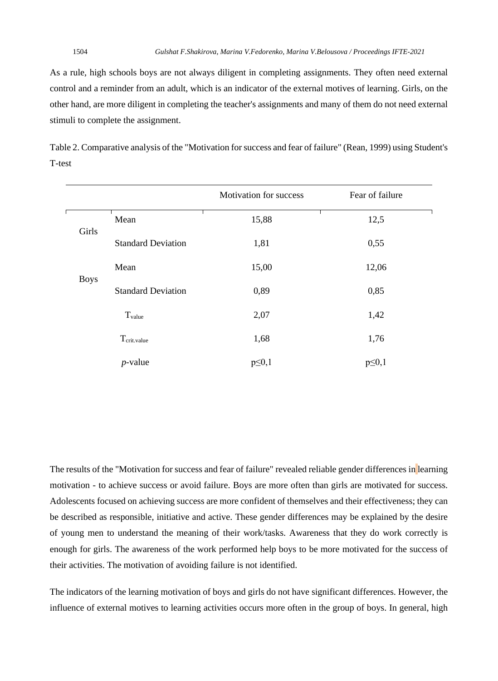As a rule, high schools boys are not always diligent in completing assignments. They often need external control and a reminder from an adult, which is an indicator of the external motives of learning. Girls, on the other hand, are more diligent in completing the teacher's assignments and many of them do not need external stimuli to complete the assignment.

|        | Table 2. Comparative analysis of the "Motivation for success and fear of failure" (Rean, 1999) using Student's |  |
|--------|----------------------------------------------------------------------------------------------------------------|--|
| T-test |                                                                                                                |  |

|             |                           | Motivation for success | Fear of failure |
|-------------|---------------------------|------------------------|-----------------|
|             | Mean                      | 15,88                  | 12,5            |
| Girls       | <b>Standard Deviation</b> | 1,81                   | 0,55            |
|             | Mean                      | 15,00                  | 12,06           |
| <b>Boys</b> | <b>Standard Deviation</b> | 0,89                   | 0,85            |
|             | Tvalue                    | 2,07                   | 1,42            |
|             | $T_{\text{crit.value}}$   | 1,68                   | 1,76            |
|             | $p$ -value                | $p \leq 0,1$           | $p \leq 0,1$    |

The results of the "Motivation for success and fear of failure" revealed reliable gender differences in learning motivation - to achieve success or avoid failure. Boys are more often than girls are motivated for success. Adolescents focused on achieving success are more confident of themselves and their effectiveness; they can be described as responsible, initiative and active. These gender differences may be explained by the desire of young men to understand the meaning of their work/tasks. Awareness that they do work correctly is enough for girls. The awareness of the work performed help boys to be more motivated for the success of their activities. The motivation of avoiding failure is not identified.

The indicators of the learning motivation of boys and girls do not have significant differences. However, the influence of external motives to learning activities occurs more often in the group of boys. In general, high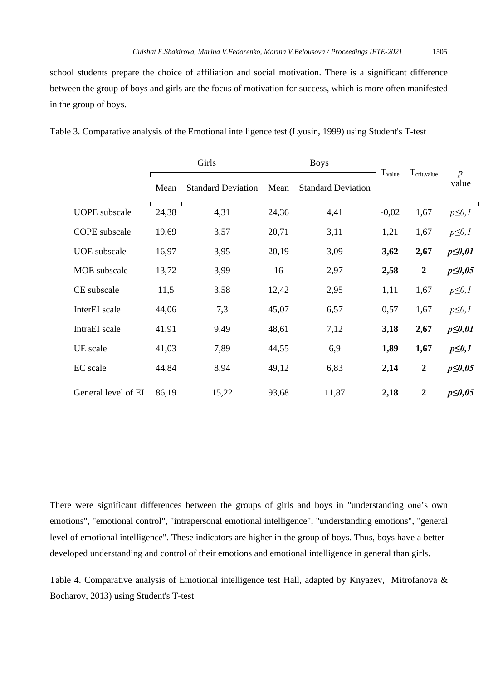school students prepare the choice of affiliation and social motivation. There is a significant difference between the group of boys and girls are the focus of motivation for success, which is more often manifested in the group of boys.

|                      | Girls |                           |       | <b>Boys</b>               | $T_{value}$ | $T_{\text{crit, value}}$ |               |
|----------------------|-------|---------------------------|-------|---------------------------|-------------|--------------------------|---------------|
|                      | Mean  | <b>Standard Deviation</b> | Mean  | <b>Standard Deviation</b> |             |                          | $p-$<br>value |
| <b>UOPE</b> subscale | 24,38 | 4,31                      | 24,36 | 4,41                      | $-0,02$     | 1,67                     | $p \leq 0, l$ |
| <b>COPE</b> subscale | 19,69 | 3,57                      | 20,71 | 3,11                      | 1,21        | 1,67                     | $p \leq 0, l$ |
| <b>UOE</b> subscale  | 16,97 | 3,95                      | 20,19 | 3,09                      | 3,62        | 2,67                     | $p \leq 0.01$ |
| MOE subscale         | 13,72 | 3,99                      | 16    | 2,97                      | 2,58        | $\boldsymbol{2}$         | $p \leq 0.05$ |
| CE subscale          | 11,5  | 3,58                      | 12,42 | 2,95                      | 1,11        | 1,67                     | $p \leq 0, l$ |
| InterEI scale        | 44,06 | 7,3                       | 45,07 | 6,57                      | 0,57        | 1,67                     | $p \leq 0, l$ |
| IntraEI scale        | 41,91 | 9,49                      | 48,61 | 7,12                      | 3,18        | 2,67                     | $p \leq 0.01$ |
| UE scale             | 41,03 | 7,89                      | 44,55 | 6,9                       | 1,89        | 1,67                     | $p \leq 0,1$  |
| EC scale             | 44,84 | 8,94                      | 49,12 | 6,83                      | 2,14        | $\boldsymbol{2}$         | $p \leq 0.05$ |
| General level of EI  | 86,19 | 15,22                     | 93,68 | 11,87                     | 2,18        | $\boldsymbol{2}$         | $p \leq 0.05$ |

|  | Table 3. Comparative analysis of the Emotional intelligence test (Lyusin, 1999) using Student's T-test |
|--|--------------------------------------------------------------------------------------------------------|
|--|--------------------------------------------------------------------------------------------------------|

There were significant differences between the groups of girls and boys in "understanding one's own emotions", "emotional control", "intrapersonal emotional intelligence", "understanding emotions", "general level of emotional intelligence". These indicators are higher in the group of boys. Thus, boys have a betterdeveloped understanding and control of their emotions and emotional intelligence in general than girls.

Table 4. Comparative analysis of Emotional intelligence test Hall, adapted by Knyazev, Mitrofanova & Bocharov, 2013) using Student's T-test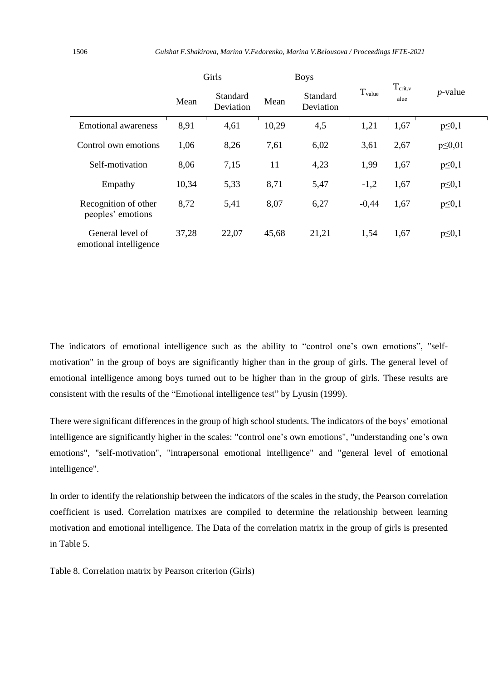|                                            | Girls |                       |       | <b>Boys</b>           |             |                             |               |
|--------------------------------------------|-------|-----------------------|-------|-----------------------|-------------|-----------------------------|---------------|
|                                            | Mean  | Standard<br>Deviation | Mean  | Standard<br>Deviation | $T_{value}$ | T <sub>crit.v</sub><br>alue | $p$ -value    |
| Emotional awareness                        | 8,91  | 4,61                  | 10,29 | 4,5                   | 1,21        | 1,67                        | $p \leq 0,1$  |
| Control own emotions                       | 1,06  | 8,26                  | 7,61  | 6,02                  | 3,61        | 2,67                        | $p \leq 0.01$ |
| Self-motivation                            | 8,06  | 7,15                  | 11    | 4,23                  | 1,99        | 1,67                        | $p \leq 0,1$  |
| Empathy                                    | 10,34 | 5,33                  | 8,71  | 5,47                  | $-1,2$      | 1,67                        | $p \leq 0,1$  |
| Recognition of other<br>peoples' emotions  | 8,72  | 5,41                  | 8,07  | 6,27                  | $-0.44$     | 1,67                        | $p \leq 0,1$  |
| General level of<br>emotional intelligence | 37,28 | 22,07                 | 45,68 | 21,21                 | 1,54        | 1,67                        | $p \leq 0,1$  |

The indicators of emotional intelligence such as the ability to "control one's own emotions", "selfmotivation" in the group of boys are significantly higher than in the group of girls. The general level of emotional intelligence among boys turned out to be higher than in the group of girls. These results are consistent with the results of the "Emotional intelligence test" by Lyusin (1999).

There were significant differences in the group of high school students. The indicators of the boys' emotional intelligence are significantly higher in the scales: "control one's own emotions", "understanding one's own emotions", "self-motivation", "intrapersonal emotional intelligence" and "general level of emotional intelligence".

In order to identify the relationship between the indicators of the scales in the study, the Pearson correlation coefficient is used. Correlation matrixes are compiled to determine the relationship between learning motivation and emotional intelligence. The Data of the correlation matrix in the group of girls is presented in Table 5.

Table 8. Correlation matrix by Pearson criterion (Girls)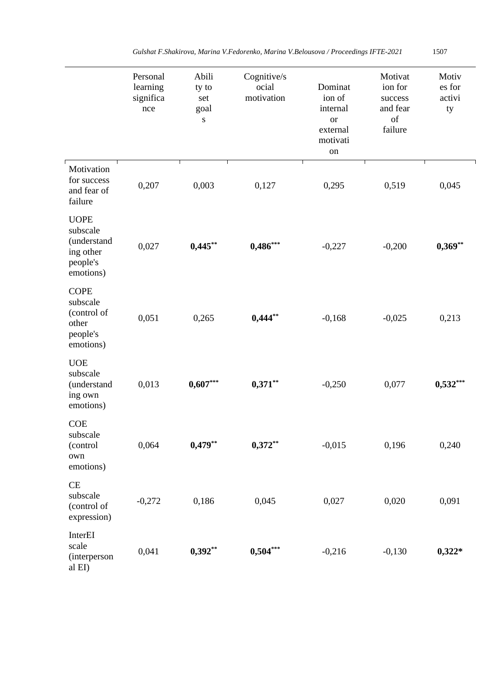|                                                                              | Personal<br>learning<br>significa<br>nce | Abili<br>ty to<br>set<br>goal<br>${\bf S}$ | Cognitive/s<br>ocial<br>motivation | Dominat<br>ion of<br>internal<br><b>or</b><br>external<br>motivati<br>on | Motivat<br>ion for<br>success<br>and fear<br>of<br>failure | Motiv<br>es for<br>activi<br>ty |
|------------------------------------------------------------------------------|------------------------------------------|--------------------------------------------|------------------------------------|--------------------------------------------------------------------------|------------------------------------------------------------|---------------------------------|
| Motivation<br>for success<br>and fear of<br>failure                          | 0,207                                    | 0,003                                      | 0,127                              | 0,295                                                                    | 0,519                                                      | 0,045                           |
| <b>UOPE</b><br>subscale<br>(understand<br>ing other<br>people's<br>emotions) | 0,027                                    | $0,445***$                                 | $0,486***$                         | $-0,227$                                                                 | $-0,200$                                                   | $0,369**$                       |
| <b>COPE</b><br>subscale<br>(control of<br>other<br>people's<br>emotions)     | 0,051                                    | 0,265                                      | $0,444**$                          | $-0,168$                                                                 | $-0,025$                                                   | 0,213                           |
| <b>UOE</b><br>subscale<br>(understand<br>ing own<br>emotions)                | 0,013                                    | $0,607***$                                 | $0,371**$                          | $-0,250$                                                                 | 0,077                                                      | $0,532***$                      |
| <b>COE</b><br>subscale<br>(control<br>own<br>emotions)                       | 0,064                                    | $0,479**$                                  | $0,372**$                          | $-0,015$                                                                 | 0,196                                                      | 0,240                           |
| CE<br>subscale<br>(control of<br>expression)                                 | $-0,272$                                 | 0,186                                      | 0,045                              | 0,027                                                                    | 0,020                                                      | 0,091                           |
| InterEI<br>scale<br>(interperson<br>al EI)                                   | 0,041                                    | $0,392**$                                  | $0,504***$                         | $-0,216$                                                                 | $-0,130$                                                   | $0,322*$                        |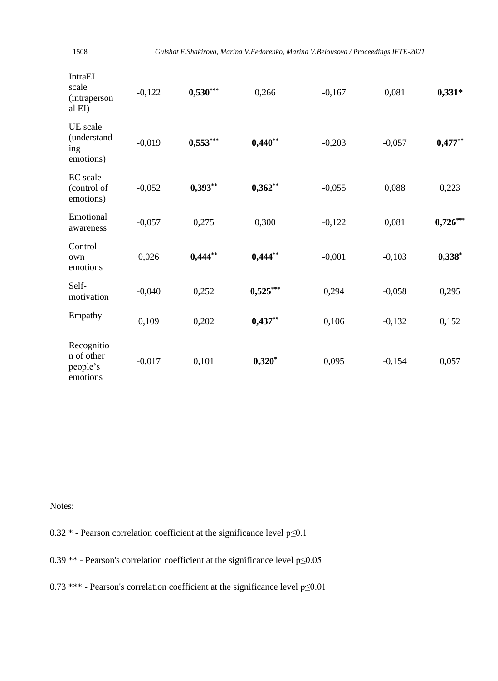| ×<br>i<br>I |
|-------------|

| <b>IntraEI</b><br>scale<br><i>(intraperson)</i><br>al EI) | $-0,122$ | $0,530***$ | 0,266      | $-0,167$ | 0,081    | $0,331*$   |
|-----------------------------------------------------------|----------|------------|------------|----------|----------|------------|
| UE scale<br>(understand<br>ing<br>emotions)               | $-0,019$ | $0,553***$ | $0,440**$  | $-0,203$ | $-0,057$ | $0,477**$  |
| <b>EC</b> scale<br>(control of<br>emotions)               | $-0,052$ | $0,393**$  | $0,362**$  | $-0,055$ | 0,088    | 0,223      |
| Emotional<br>awareness                                    | $-0,057$ | 0,275      | 0,300      | $-0,122$ | 0,081    | $0,726***$ |
| Control<br>own<br>emotions                                | 0,026    | $0,444$ ** | $0,444$ ** | $-0,001$ | $-0,103$ | $0,338*$   |
| Self-<br>motivation                                       | $-0,040$ | 0,252      | $0,525***$ | 0,294    | $-0,058$ | 0,295      |
| Empathy                                                   | 0,109    | 0,202      | $0,437***$ | 0,106    | $-0,132$ | 0,152      |
| Recognitio<br>n of other<br>people's<br>emotions          | $-0,017$ | 0,101      | $0,320*$   | 0,095    | $-0,154$ | 0,057      |

Notes:

0.32 \* - Pearson correlation coefficient at the significance level p≤0.1

0.39  $**$  - Pearson's correlation coefficient at the significance level p≤0.05

0.73 \*\*\* - Pearson's correlation coefficient at the significance level  $p \le 0.01$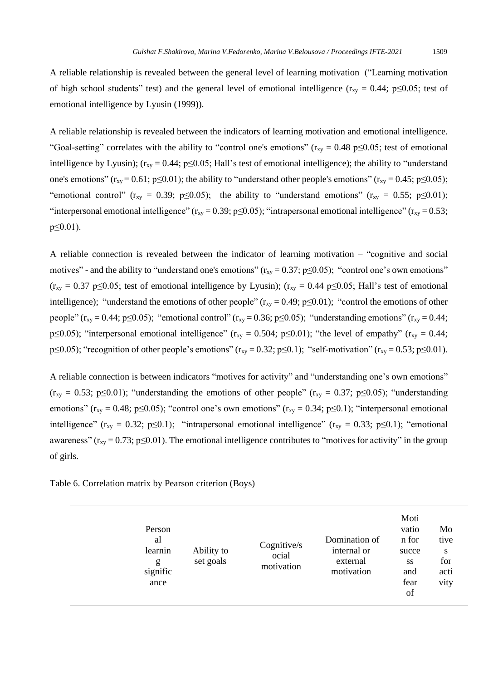A reliable relationship is revealed between the general level of learning motivation ("Learning motivation of high school students" test) and the general level of emotional intelligence ( $r_{xy} = 0.44$ ; p≤0.05; test of emotional intelligence by Lyusin (1999)).

A reliable relationship is revealed between the indicators of learning motivation and emotional intelligence. "Goal-setting" correlates with the ability to "control one's emotions" ( $r_{xy} = 0.48$  p $\leq 0.05$ ; test of emotional intelligence by Lyusin);  $(r_{xy} = 0.44; p \le 0.05; Hall's test of emotional intelligence);$  the ability to "understand one's emotions" ( $r_{xy}$  = 0.61; p≤0.01); the ability to "understand other people's emotions" ( $r_{xy}$  = 0.45; p≤0.05); "emotional control" ( $r_{xy} = 0.39$ ; p $\leq 0.05$ ); the ability to "understand emotions" ( $r_{xy} = 0.55$ ; p $\leq 0.01$ ); "interpersonal emotional intelligence" ( $r_{xy} = 0.39$ ; p $\leq 0.05$ ); "intrapersonal emotional intelligence" ( $r_{xy} = 0.53$ ; p≤0.01).

A reliable connection is revealed between the indicator of learning motivation – "cognitive and social motives" - and the ability to "understand one's emotions" ( $r_{xy} = 0.37$ ; p $\leq 0.05$ ); "control one's own emotions"  $(r_{xy} = 0.37 \text{ p} \le 0.05$ ; test of emotional intelligence by Lyusin);  $(r_{xy} = 0.44 \text{ p} \le 0.05$ ; Hall's test of emotional intelligence); "understand the emotions of other people"  $(r_{xy} = 0.49; p \le 0.01)$ ; "control the emotions of other people" ( $r_{xy} = 0.44$ ; p≤0.05); "emotional control" ( $r_{xy} = 0.36$ ; p≤0.05); "understanding emotions" ( $r_{xy} = 0.44$ ; p≤0.05); "interpersonal emotional intelligence" ( $r_{xy} = 0.504$ ; p≤0.01); "the level of empathy" ( $r_{xy} = 0.44$ ; p≤0.05); "recognition of other people's emotions" ( $r_{xy} = 0.32$ ; p≤0.1); "self-motivation" ( $r_{xy} = 0.53$ ; p≤0.01).

A reliable connection is between indicators "motives for activity" and "understanding one's own emotions"  $(r_{xy} = 0.53; p \le 0.01)$ ; "understanding the emotions of other people"  $(r_{xy} = 0.37; p \le 0.05)$ ; "understanding emotions" ( $r_{xy} = 0.48$ ; p≤0.05); "control one's own emotions" ( $r_{xy} = 0.34$ ; p≤0.1); "interpersonal emotional intelligence" (r<sub>xy</sub> = 0.32; p≤0.1); "intrapersonal emotional intelligence" (r<sub>xy</sub> = 0.33; p≤0.1); "emotional awareness" ( $r_{xy} = 0.73$ ; p≤0.01). The emotional intelligence contributes to "motives for activity" in the group of girls.

Table 6. Correlation matrix by Pearson criterion (Boys)

| Person<br>al<br>learnin<br>g<br>signific<br>ance | Ability to<br>set goals | Cognitive/s<br>ocial<br>motivation | Domination of<br>internal or<br>external<br>motivation | Moti<br>vatio<br>n for<br>succe<br>SS<br>and<br>fear<br>of | Mo<br>tive<br>S<br>for<br>acti<br>vity |
|--------------------------------------------------|-------------------------|------------------------------------|--------------------------------------------------------|------------------------------------------------------------|----------------------------------------|
|--------------------------------------------------|-------------------------|------------------------------------|--------------------------------------------------------|------------------------------------------------------------|----------------------------------------|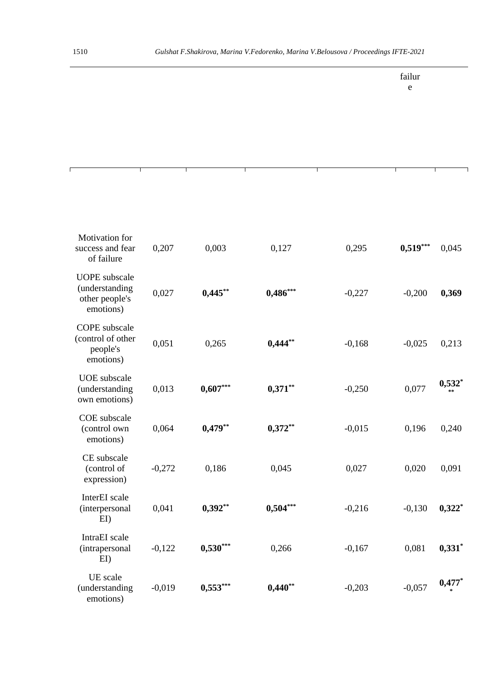$\Gamma$ 

T

٦

ī

failur e

٦

| Motivation for<br>success and fear<br>of failure                      | 0,207    | 0,003      | 0,127      | 0,295    | $0,519***$ | 0,045     |
|-----------------------------------------------------------------------|----------|------------|------------|----------|------------|-----------|
| <b>UOPE</b> subscale<br>(understanding<br>other people's<br>emotions) | 0,027    | $0,445***$ | $0,486***$ | $-0,227$ | $-0,200$   | 0,369     |
| <b>COPE</b> subscale<br>(control of other<br>people's<br>emotions)    | 0,051    | 0,265      | $0,444**$  | $-0,168$ | $-0,025$   | 0,213     |
| <b>UOE</b> subscale<br>(understanding<br>own emotions)                | 0,013    | $0,607***$ | $0,371**$  | $-0,250$ | 0,077      | $0,532$ * |
| COE subscale<br>(control own<br>emotions)                             | 0,064    | $0,479**$  | $0,372**$  | $-0,015$ | 0,196      | 0,240     |
| CE subscale<br>(control of<br>expression)                             | $-0,272$ | 0,186      | 0,045      | 0,027    | 0,020      | 0,091     |
| InterEI scale<br>(interpersonal<br>E <sub>I</sub>                     | 0,041    | $0,392**$  | $0,504***$ | $-0,216$ | $-0,130$   | $0,322$ * |
| IntraEI scale<br>(intrapersonal<br>E <sub>I</sub>                     | $-0,122$ | $0,530***$ | 0,266      | $-0,167$ | 0,081      | $0,331$ * |
| UE scale<br>(understanding<br>emotions)                               | $-0,019$ | $0,553***$ | $0,440**$  | $-0,203$ | $-0,057$   | $0,477*$  |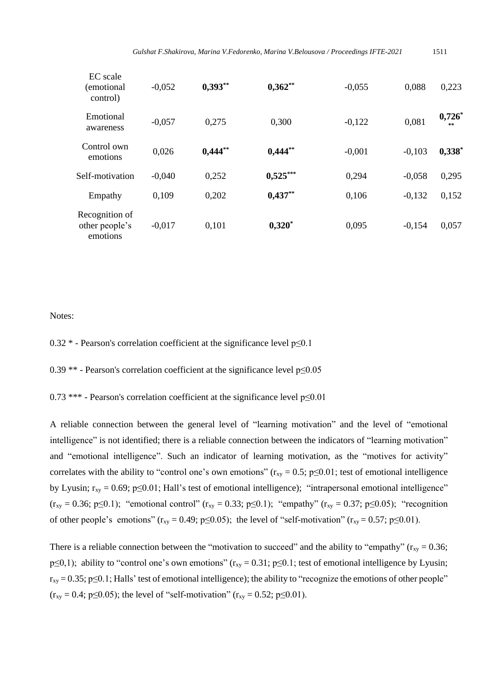| EC scale<br>(emotional)<br>control)          | $-0.052$ | $0,393**$  | $0,362**$  | $-0,055$ | 0.088    | 0,223                |
|----------------------------------------------|----------|------------|------------|----------|----------|----------------------|
| Emotional<br>awareness                       | $-0,057$ | 0.275      | 0.300      | $-0,122$ | 0.081    | 0,726<br>$\pm$ $\pm$ |
| Control own<br>emotions                      | 0,026    | $0,444$ ** | $0,444$ ** | $-0,001$ | $-0.103$ | $0,338$ *            |
| Self-motivation                              | $-0.040$ | 0,252      | $0,525***$ | 0,294    | $-0.058$ | 0,295                |
| Empathy                                      | 0.109    | 0.202      | $0,437**$  | 0,106    | $-0.132$ | 0,152                |
| Recognition of<br>other people's<br>emotions | $-0.017$ | 0.101      | $0,320^*$  | 0,095    | $-0,154$ | 0,057                |

#### Notes:

0.32  $*$  - Pearson's correlation coefficient at the significance level  $p \le 0.1$ 

0.39  $**$  - Pearson's correlation coefficient at the significance level  $p \le 0.05$ 

0.73 \*\*\* - Pearson's correlation coefficient at the significance level  $p \le 0.01$ 

A reliable connection between the general level of "learning motivation" and the level of "emotional intelligence" is not identified; there is a reliable connection between the indicators of "learning motivation" and "emotional intelligence". Such an indicator of learning motivation, as the "motives for activity" correlates with the ability to "control one's own emotions" ( $r_{xy} = 0.5$ ; p≤0.01; test of emotional intelligence by Lyusin;  $r_{xy} = 0.69$ ;  $p \le 0.01$ ; Hall's test of emotional intelligence); "intrapersonal emotional intelligence"  $(r_{xy} = 0.36; p \le 0.1)$ ; "emotional control"  $(r_{xy} = 0.33; p \le 0.1)$ ; "empathy"  $(r_{xy} = 0.37; p \le 0.05)$ ; "recognition of other people's emotions" ( $r_{xy} = 0.49$ ;  $p \le 0.05$ ); the level of "self-motivation" ( $r_{xy} = 0.57$ ;  $p \le 0.01$ ).

There is a reliable connection between the "motivation to succeed" and the ability to "empathy" ( $r_{xy} = 0.36$ ;  $p \le 0,1$ ); ability to "control one's own emotions" ( $r_{xy} = 0.31$ ;  $p \le 0.1$ ; test of emotional intelligence by Lyusin;  $r_{xy} = 0.35$ ; p≤0.1; Halls' test of emotional intelligence); the ability to "recognize the emotions of other people"  $(r_{xy} = 0.4; p \le 0.05)$ ; the level of "self-motivation"  $(r_{xy} = 0.52; p \le 0.01)$ .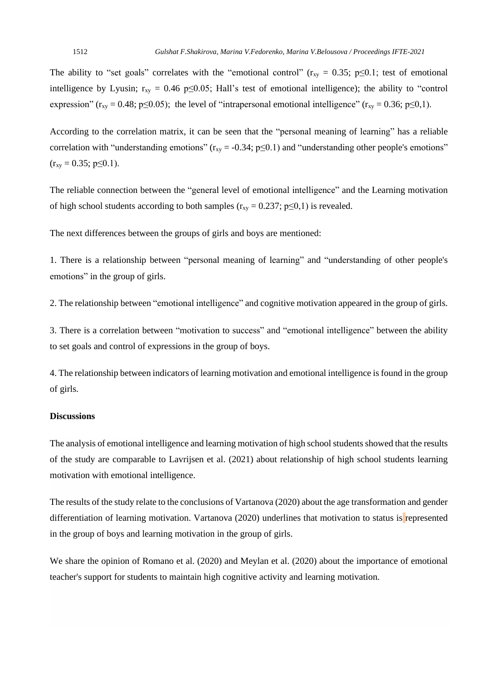The ability to "set goals" correlates with the "emotional control" ( $r_{xy} = 0.35$ ; p $\leq 0.1$ ; test of emotional intelligence by Lyusin;  $r_{xy} = 0.46 \text{ p} \le 0.05$ ; Hall's test of emotional intelligence); the ability to "control" expression" ( $r_{xy} = 0.48$ ; p≤0.05); the level of "intrapersonal emotional intelligence" ( $r_{xy} = 0.36$ ; p≤0,1).

According to the correlation matrix, it can be seen that the "personal meaning of learning" has a reliable correlation with "understanding emotions" ( $r_{xy} = -0.34$ ; p $\leq 0.1$ ) and "understanding other people's emotions"  $(r_{xy} = 0.35; p \le 0.1).$ 

The reliable connection between the "general level of emotional intelligence" and the Learning motivation of high school students according to both samples ( $r_{xy} = 0.237$ ; p $\leq 0.1$ ) is revealed.

The next differences between the groups of girls and boys are mentioned:

1. There is a relationship between "personal meaning of learning" and "understanding of other people's emotions" in the group of girls.

2. The relationship between "emotional intelligence" and cognitive motivation appeared in the group of girls.

3. There is a correlation between "motivation to success" and "emotional intelligence" between the ability to set goals and control of expressions in the group of boys.

4. The relationship between indicators of learning motivation and emotional intelligence isfound in the group of girls.

## **Discussions**

The analysis of emotional intelligence and learning motivation of high school students showed that the results of the study are comparable to Lavrijsen et al. (2021) about relationship of high school students learning motivation with emotional intelligence.

The results of the study relate to the conclusions of Vartanova (2020) about the age transformation and gender differentiation of learning motivation. Vartanova (2020) underlines that motivation to status is represented in the group of boys and learning motivation in the group of girls.

We share the opinion of Romano et al. (2020) and Meylan et al. (2020) about the importance of emotional teacher's support for students to maintain high cognitive activity and learning motivation.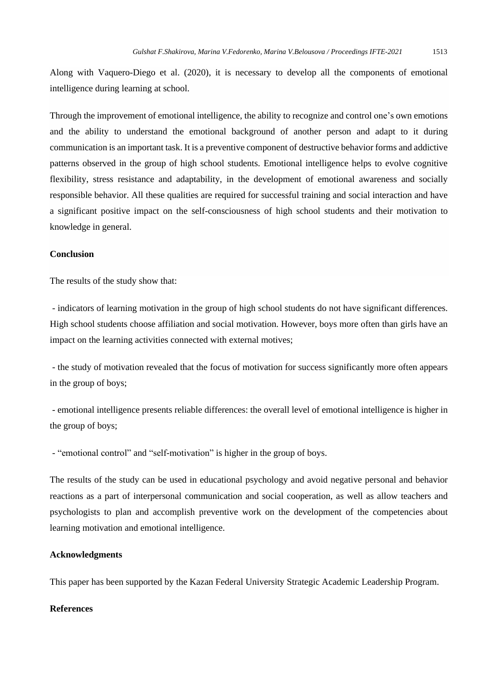Along with Vaquero-Diego et al. (2020), it is necessary to develop all the components of emotional intelligence during learning at school.

Through the improvement of emotional intelligence, the ability to recognize and control one's own emotions and the ability to understand the emotional background of another person and adapt to it during communication is an important task. It is a preventive component of destructive behavior forms and addictive patterns observed in the group of high school students. Emotional intelligence helps to evolve cognitive flexibility, stress resistance and adaptability, in the development of emotional awareness and socially responsible behavior. All these qualities are required for successful training and social interaction and have a significant positive impact on the self-consciousness of high school students and their motivation to knowledge in general.

#### **Conclusion**

The results of the study show that:

- indicators of learning motivation in the group of high school students do not have significant differences. High school students choose affiliation and social motivation. However, boys more often than girls have an impact on the learning activities connected with external motives;

- the study of motivation revealed that the focus of motivation for success significantly more often appears in the group of boys;

- emotional intelligence presents reliable differences: the overall level of emotional intelligence is higher in the group of boys;

- "emotional control" and "self-motivation" is higher in the group of boys.

The results of the study can be used in educational psychology and avoid negative personal and behavior reactions as a part of interpersonal communication and social cooperation, as well as allow teachers and psychologists to plan and accomplish preventive work on the development of the competencies about learning motivation and emotional intelligence.

#### **Acknowledgments**

This paper has been supported by the Kazan Federal University Strategic Academic Leadership Program.

#### **References**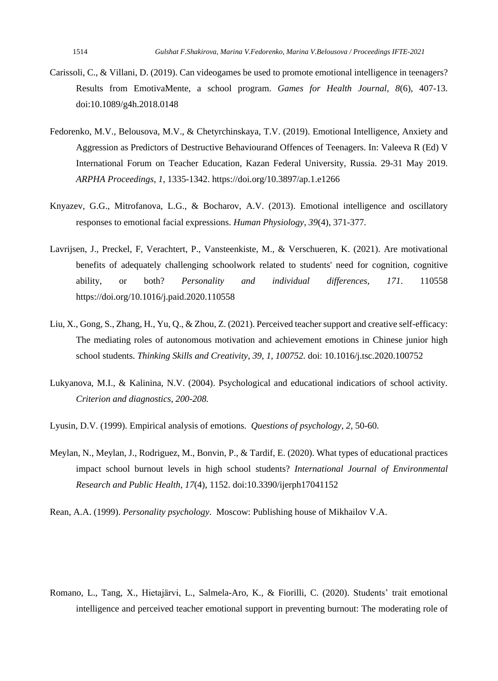- Carissoli, C., & Villani, D. (2019). Can videogames be used to promote emotional intelligence in teenagers? Results from EmotivaMente, a school program. *Games for Health Journal*, *8*(6), 407-13. doi:10.1089/g4h.2018.0148
- Fedorenko, M.V., Belousova, M.V., & Chetyrchinskaya, T.V. (2019). Emotional Intelligence, Anxiety and Aggression as Predictors of Destructive Behaviourand Offences of Teenagers. In: Valeeva R (Ed) V International Forum on Teacher Education, Kazan Federal University, Russia. 29-31 May 2019. *ARPHA Proceedings, 1*, 1335-1342. https://doi.org/10.3897/ap.1.e1266
- Knyazev, G.G., Mitrofanova, L.G., & Bocharov, A.V. (2013). Emotional intelligence and oscillatory responses to emotional facial expressions. *Human Physiology*, *39*(4), 371-377.
- Lavrijsen, J., Preckel, F, Verachtert, P., Vansteenkiste, M., & Verschueren, K. (2021). Are motivational benefits of adequately challenging schoolwork related to students' need for cognition, cognitive ability, or both? *Personality and individual differences, 171*. 110558 https://doi.org/10.1016/j.paid.2020.110558
- Liu, X., Gong, S., Zhang, H., Yu, Q., & Zhou, Z. (2021). Perceived teacher support and creative self-efficacy: The mediating roles of autonomous motivation and achievement emotions in Chinese junior high school students. *Thinking Skills and Creativity*, *39, 1, 100752.* doi: 10.1016/j.tsc.2020.100752
- Lukyanova, M.I., & Kalinina, N.V. (2004). Psychological and educational indicatiors of school activity*. Criterion and diagnostics, 200-208.*
- Lyusin, D.V. (1999). Empirical analysis of emotions. *Questions of psychology*, *2,* 50-60.
- Meylan, N., Meylan, J., Rodriguez, M., Bonvin, P., & Tardif, E. (2020). What types of educational practices impact school burnout levels in high school students? *International Journal of Environmental Research and Public Health, 17*(4), 1152. doi:10.3390/ijerph17041152
- Rean, A.A. (1999). *Personality psychology*. Moscow: Publishing house of Mikhailov V.A.

Romano, L., Tang, X., Hietajärvi, L., Salmela-Aro, K., & Fiorilli, C. (2020). Students' trait emotional intelligence and perceived teacher emotional support in preventing burnout: The moderating role of